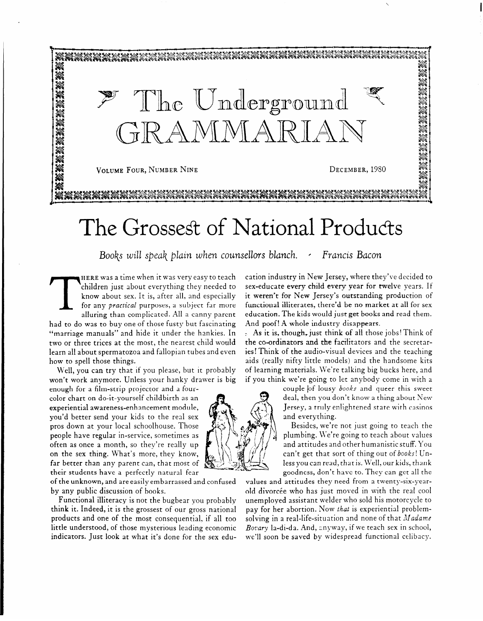

## The Grossest of National Products

Books will speak plain when counsellors blanch. *'* Francis Bacon

**HERE** was a time when it was very easy to teach children just about everything they needed to know about sex. It is, after all, and especially for any *practical* purposes, a subject far more alluring than complicated. All a canny parent had to do was to buy one of those fusty but fascinating "marriage manuals" and hide it under the hankies. In two or three trices at the most, the nearest child would learn al1 about spermatozoa and fallopian tubes and even how to spell those things.

Well, you can try that if you please, but it probably won't work anymore. Unless your hanky drawer is big

enough for a film-strip projector and a fourcolor chart on do-it-yourself childbirth as an experiential awareness-enhancement module, you'd better send your kids to the real sex pros down at your local schoolhouse. Those  $\left\{\begin{matrix} \cdot & \cdot \\ \cdot & \cdot \\ \cdot & \cdot \end{matrix}\right\}$  Besides, we're not just going to teach the people have regular in-service, sometimes as  $\left\{\begin{matrix} \cdot & \cdot \\ \cdot & \cdot \\ \cdot & \cdot \end{matrix}\right\}$  plumbing. We're go far better than any parent can, that most of<br>their students have a perfectly natural fear

of the unknown, and are easily embarrassed and confused<br>by any public discussion of books.

think it. Indeed, it is the grossest of our gross national products and one of the most consequential, if all too little understood, of those mysterious leading economic *Bovary* la-di-da. And, anyway, if we teach sex in school, indicators. Just look at what it's done for the sex edu- we'll soon be saved by widespread functional celib indicators. Just look at what it's done for the sex edu-

cation industry in New Jersey, where they've decided to sex-educate every child every year for twelve years. If it weren't for New Jersey's outstanding production of functional illiterates, there'd be no market at all for sex education. The kids would just get books and read them. And poof! A whole industry disappears.

As it is, though, just think of all those jobs! Think of the co-ordinators and the facihtators and the secretaries! Think of the audio-visual devices and the teaching aids (really nifty little models) and the handsome kits of learning materials. We're talking big bucks here, and if you think we're going to Iec anybody come in with a

couple of lousy books and queer this sweet deal, then you don't know a thing about New Jersey, a truly enlightened state with casinos and everything.<br>Besides, we're not just going to teach the

people have regular in-service, sometimes as plumbing. \Ve're going to teach about values often as once a month, so they're really up  $\mathcal{L} \setminus \mathcal{L}$  and attitudes and other humanistic stuff. You on the sex thing. What's more, they know,  $\mathcal{L} \setminus \mathcal{L}$ on the sex thing. What's more, they know,  $\begin{matrix} \mathbb{R} \\ \mathbb{R} \end{matrix}$   $\begin{matrix} \mathbb{R} \\ \mathbb{R} \end{matrix}$  can't get that sort of thing out of books! Un-<br>far better than any parent can, that most of  $\begin{matrix} \mathbb{R} \\ \mathbb{R} \end{matrix}$ goodness, don't have to. They can get all the values and attitudes they need from a twenty-six-year-

by any public divorce who has just moved in with the real cool unemploved assistant welder who sold his motorcycle to Functional illiteracy is not the bugbear you probably unemployed assistant welder who sold his motorcycle to ink it. Indeed, it is the grossest of our gross national pay for her abortion. Now *that* is experiential problem solving in a real-life-situation and none of that *Madame*<br>Bovary la-di-da. And, anyway, if we teach sex in school,

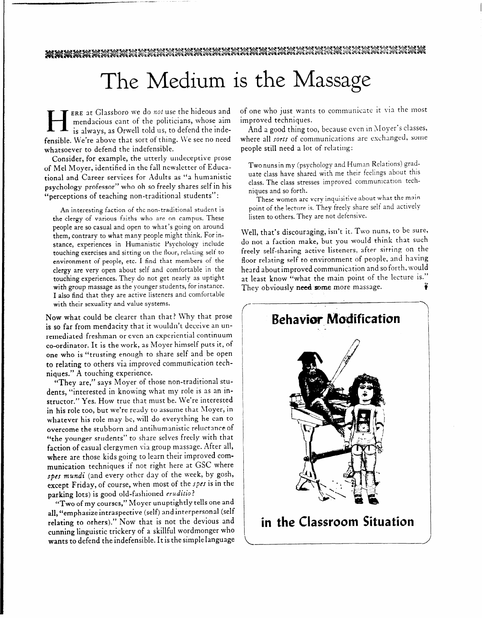## The Medium is the Massage

ERE at Glassboro we do *not* use the hideous and<br>mendacious cant of the politicians, whose aim<br>is always, as Orwell told us, to defend the indemendacious cant of the politicians, whose aim **is** always, as Orwell told us, to defend the indefensible. We're above that sort of thing. We see no need whatsoever to defend the indefensible.

Consider, for example, the utterly undeceptive prose of Mel Moyer, identified in the fall newsletter of Educational and Career services for Adults as "a humanistic psychology professor" who oh so freely shares self in his "perceptions of teaching non-traditional students":

An interesting faction of the non-traditional student is the clergy of various faiths who are on campus, These people are so casual and open to what's going on around them, contrary to what many people might think. For instance, experiences in Humanistic Psychology include touching exercises and sitting on the floor, relating self to environment of people, etc. I find that members of the clergy are very open about self and comfortable in the touching experiences. They do not get nearly as uptight with group massage as the younger students, for instance. I also find that they are active listeners and comfortable with their sexuality and value systems.

Now what could be clearer than that? Why that prose is so far from mendacity that it wouldn't deceive an unremediated freshman or even an experiential continuum co-ordinator. It is the work, as Moyer himself puts it, of one who is "trusting enough to share self and be open to relating to others via improved communication techniques." A touching experience.

"They are," says Moyer of those non-traditional students, "interested in knowing what my role is as an instructor." Yes. How true that must be. We're interested in his role too, but we're ready to assume that Moyer, in whatever his role may be, will do everything he can to overcome the stubborn and antihumanistic reluctance of "the younger students" to share selves freely with that faction of casual clergymen via group massage. After all, where are those kids going to learn their improved communication techniques if not right here at GSC where spcs *mundi* (and every other day of the week, by gosh, except Friday, of course, when most of the spes is in the parking lots) is good old-fashioned *eruditio ?* 

"Two of my courses, " Moyer unuptightly tells one and all, "emphasize intraspective (self) and interpersonal (self relating to others)." Now that is not the devious and cunning linguistic trickery of a skillful wordmonger who cunning imguistic trickery or a skillful wordmonger who **wants** to defend the indefensible. It is the simple language

of one who just wants to communicate it via the most improved techniques.

And a good thing too, because even in Moyer's classes, where all sorts of communications are exchanged, some people still need a lot of relating:

Two nuns in my (psychology and Human Relations) graduate class have shared with me their feelings about this class. The class stresses improved communication techniques and so forth.

These women are very inquisitive about what the main point of the lecture is. They freely share self and actively listen to others. They are not defensive.

Well, that's discouraging, isn't it. Two nuns, to be sure, do not a faction make, but you would think that such freeiy self-sharing active listeners, after sitting on the floor relating self to environment of people, and having heard about improved communication and so forth, would at least know "what the main point of the lecture is." They obviously **need** some *more* massage. e9 ?

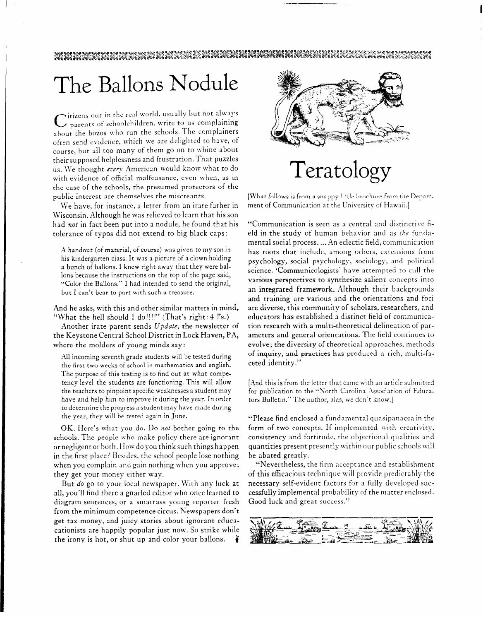# The Ballons Nodule

C itizens out in the real world, usually but not always<br>C parents of schoolchildren, write to us complaining about the bozos who run the schools. The complainers often send evidence, which we are delighted to have, **of**  course, but all too many of them go on to whine about their supposed helplessness and frustration. That puzzles us. We thought every American would know what to do with evidence of official malfeasance, even when, as in the case of the schools, the presumed protectors of the public interest are themselves the miscreants.

We have, for instance, a letter from an irate father in Wisconsin. Although he was relieved to learn that his son had not in fact been put into a nodule, he found that his tolerance of typos did not extend to big black caps:

A handout (of material, of course) was given to my son in his kindergarten class. It was a picture of a clown holding a bunch of ballons. I knew right away that they were ballons because the instructions on the top of the page said, "Color the Ballons." I had intended to send the original, but I can't bear to part with such a treasure.

And he asks, with this and other similar matters in mind, "What the hell should I do!!!!" (That's right: 4 !'s.)

Another irate parent sends *Update,* the newsletter of the Keystone Central School District in Lock Haven, PA, where the molders of young minds say:

All incoming seventh grade students will be tested during the first two weeks of school in mathematics and english. The purpose of this testing is to find out at what competency level the students are functioning. This will allow the teachers to pinpoint specific weaknesses a student may have and help him to improve it during the year. In order to determine the progress a student may have made during the year, they will be tested again in June.

OK. Here's what you do. Do not bother going to the schools. The people who make policy there are ignorant or negligent or both. How do you think such things happen in the first place? Besides, the school people lose nothing when you complain and gain nothing when you approve; they get your money either way.

But *do* go to your local newspaper. With any luck at all, you'll find there a gnarled editor who once learned to diagram sentences, or a smartass young reporter fresh from the minimum competence circus. Newspapers don't get tax money, and juicy stories about ignorant educacationists are happily popular just now. So strike while the irony is hot, or shut up and color your ballons.



## Teratology

[What follows is from a snappy little brochure from the Department of Communication at the University of Hawaii.]

"Communication is seen as a central and distinctive field in the study of human behavior and as the fundamental social process. ... An eclectic field, communication has roots that include, among others, extensions from psychology, social psychology, sociology, and political science. 'Communicologists' have attempted to cull the various perspectives to synthesize salient concepts into an integrated framework. AIthough their backgrounds and training are various and the orientations and foci are diverse, this community of scholars, researchers, and educators has established a distinct field of communication research with a multi-theoretical delineation of parameters and general orientations. The field continues to evolve; the diversity of theoretical approaches, methods of inquiry, and practices has produced a rich, multi-faceted identity."

[And this is from the letter that came with an article submitted for publication to the "North Carolina Association of Educators Bulletin." The author, alas, we don't know.]

"Please find enclosed a fundamental quasipanacea in the form of two concepts. If implemented with creativity, consistency and fortitude, the objectional qualities and quantities present presently within our public schools will be abated greatly.

"Nevertheless, the firm acceptance and establishment of this efficacious technique will provide predictably the necessary self-evident factors for a fully developed successfully implemental probability of the matter enclosed. Good luck and great success."